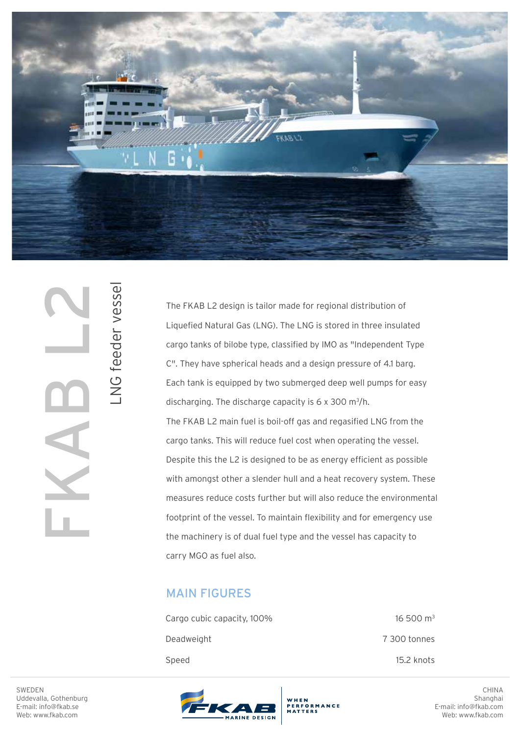

SWEDEN<br>Uddevalla, Gothenburg<br>E-mail: info@fkab.se<br>Web: www.fkab.com

LNG feeder vessel

NG feeder vessel

The FKAB L2 design is tailor made for regional distribution of Liquefied Natural Gas (LNG). The LNG is stored in three insulated cargo tanks of bilobe type, classified by IMO as "Independent Type C". They have spherical heads and a design pressure of 4.1 barg. Each tank is equipped by two submerged deep well pumps for easy discharging. The discharge capacity is  $6 \times 300$  m<sup>3</sup>/h. The FKAB L2 main fuel is boil-off gas and regasified LNG from the cargo tanks. This will reduce fuel cost when operating the vessel. Despite this the L2 is designed to be as energy efficient as possible with amongst other a slender hull and a heat recovery system. These measures reduce costs further but will also reduce the environmental footprint of the vessel. To maintain flexibility and for emergency use the machinery is of dual fuel type and the vessel has capacity to carry MGO as fuel also.

## MAIN FIGURES

| Cargo cubic capacity, 100% | $16\,500\,\mathrm{m}^3$ |
|----------------------------|-------------------------|
| Deadweight                 | 7 300 tonnes            |
| Speed                      | 15.2 knots              |





CHINA Shanghai E-mail: info@fkab.com Web: www.fkab.com